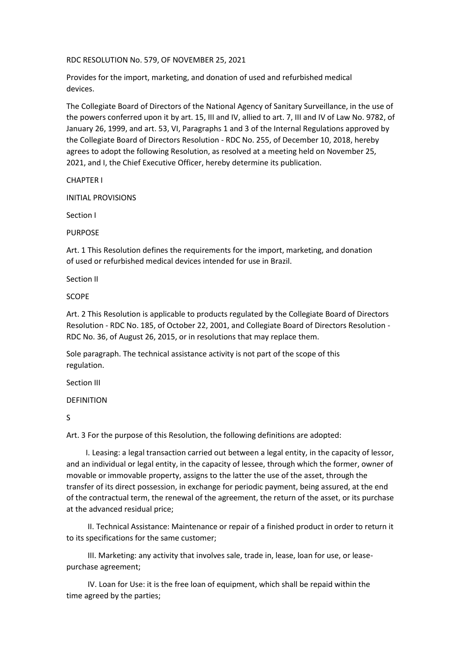# RDC RESOLUTION No. 579, OF NOVEMBER 25, 2021

Provides for the import, marketing, and donation of used and refurbished medical devices.

The Collegiate Board of Directors of the National Agency of Sanitary Surveillance, in the use of the powers conferred upon it by art. 15, III and IV, allied to art. 7, III and IV of Law No. 9782, of January 26, 1999, and art. 53, VI, Paragraphs 1 and 3 of the Internal Regulations approved by the Collegiate Board of Directors Resolution - RDC No. 255, of December 10, 2018, hereby agrees to adopt the following Resolution, as resolved at a meeting held on November 25, 2021, and I, the Chief Executive Officer, hereby determine its publication.

CHAPTER I

INITIAL PROVISIONS

Section I

PURPOSE

Art. 1 This Resolution defines the requirements for the import, marketing, and donation of used or refurbished medical devices intended for use in Brazil.

Section II

SCOPE

Art. 2 This Resolution is applicable to products regulated by the Collegiate Board of Directors Resolution - RDC No. 185, of October 22, 2001, and Collegiate Board of Directors Resolution - RDC No. 36, of August 26, 2015, or in resolutions that may replace them.

Sole paragraph. The technical assistance activity is not part of the scope of this regulation.

Section III

## DEFINITION

S

Art. 3 For the purpose of this Resolution, the following definitions are adopted:

I. Leasing: a legal transaction carried out between a legal entity, in the capacity of lessor, and an individual or legal entity, in the capacity of lessee, through which the former, owner of movable or immovable property, assigns to the latter the use of the asset, through the transfer of its direct possession, in exchange for periodic payment, being assured, at the end of the contractual term, the renewal of the agreement, the return of the asset, or its purchase at the advanced residual price;

II. Technical Assistance: Maintenance or repair of a finished product in order to return it to its specifications for the same customer;

III. Marketing: any activity that involves sale, trade in, lease, loan for use, or leasepurchase agreement;

IV. Loan for Use: it is the free loan of equipment, which shall be repaid within the time agreed by the parties;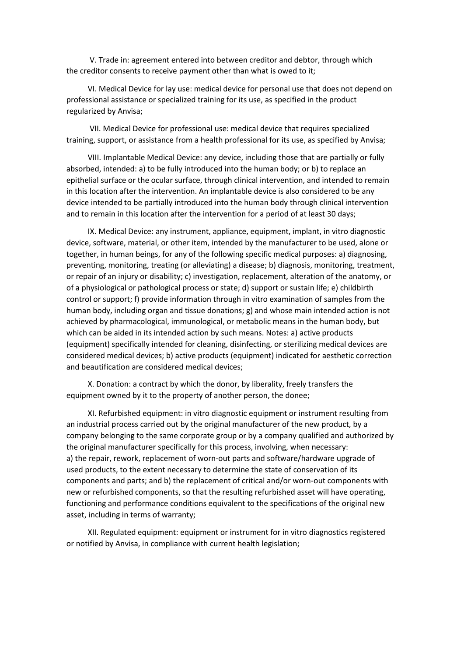V. Trade in: agreement entered into between creditor and debtor, through which the creditor consents to receive payment other than what is owed to it;

VI. Medical Device for lay use: medical device for personal use that does not depend on professional assistance or specialized training for its use, as specified in the product regularized by Anvisa;

VII. Medical Device for professional use: medical device that requires specialized training, support, or assistance from a health professional for its use, as specified by Anvisa;

VIII. Implantable Medical Device: any device, including those that are partially or fully absorbed, intended: a) to be fully introduced into the human body; or b) to replace an epithelial surface or the ocular surface, through clinical intervention, and intended to remain in this location after the intervention. An implantable device is also considered to be any device intended to be partially introduced into the human body through clinical intervention and to remain in this location after the intervention for a period of at least 30 days;

IX. Medical Device: any instrument, appliance, equipment, implant, in vitro diagnostic device, software, material, or other item, intended by the manufacturer to be used, alone or together, in human beings, for any of the following specific medical purposes: a) diagnosing, preventing, monitoring, treating (or alleviating) a disease; b) diagnosis, monitoring, treatment, or repair of an injury or disability; c) investigation, replacement, alteration of the anatomy, or of a physiological or pathological process or state; d) support or sustain life; e) childbirth control or support; f) provide information through in vitro examination of samples from the human body, including organ and tissue donations; g) and whose main intended action is not achieved by pharmacological, immunological, or metabolic means in the human body, but which can be aided in its intended action by such means. Notes: a) active products (equipment) specifically intended for cleaning, disinfecting, or sterilizing medical devices are considered medical devices; b) active products (equipment) indicated for aesthetic correction and beautification are considered medical devices;

X. Donation: a contract by which the donor, by liberality, freely transfers the equipment owned by it to the property of another person, the donee;

XI. Refurbished equipment: in vitro diagnostic equipment or instrument resulting from an industrial process carried out by the original manufacturer of the new product, by a company belonging to the same corporate group or by a company qualified and authorized by the original manufacturer specifically for this process, involving, when necessary: a) the repair, rework, replacement of worn-out parts and software/hardware upgrade of used products, to the extent necessary to determine the state of conservation of its components and parts; and b) the replacement of critical and/or worn-out components with new or refurbished components, so that the resulting refurbished asset will have operating, functioning and performance conditions equivalent to the specifications of the original new asset, including in terms of warranty;

XII. Regulated equipment: equipment or instrument for in vitro diagnostics registered or notified by Anvisa, in compliance with current health legislation;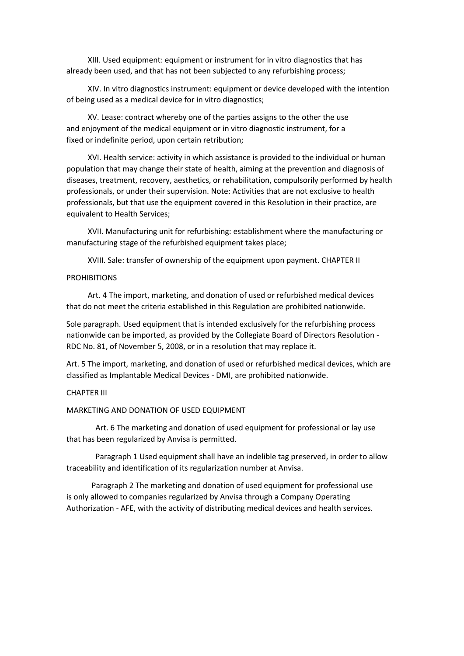XIII. Used equipment: equipment or instrument for in vitro diagnostics that has already been used, and that has not been subjected to any refurbishing process;

XIV. In vitro diagnostics instrument: equipment or device developed with the intention of being used as a medical device for in vitro diagnostics;

XV. Lease: contract whereby one of the parties assigns to the other the use and enjoyment of the medical equipment or in vitro diagnostic instrument, for a fixed or indefinite period, upon certain retribution;

XVI. Health service: activity in which assistance is provided to the individual or human population that may change their state of health, aiming at the prevention and diagnosis of diseases, treatment, recovery, aesthetics, or rehabilitation, compulsorily performed by health professionals, or under their supervision. Note: Activities that are not exclusive to health professionals, but that use the equipment covered in this Resolution in their practice, are equivalent to Health Services;

XVII. Manufacturing unit for refurbishing: establishment where the manufacturing or manufacturing stage of the refurbished equipment takes place;

XVIII. Sale: transfer of ownership of the equipment upon payment. CHAPTER II

## PROHIBITIONS

Art. 4 The import, marketing, and donation of used or refurbished medical devices that do not meet the criteria established in this Regulation are prohibited nationwide.

Sole paragraph. Used equipment that is intended exclusively for the refurbishing process nationwide can be imported, as provided by the Collegiate Board of Directors Resolution - RDC No. 81, of November 5, 2008, or in a resolution that may replace it.

Art. 5 The import, marketing, and donation of used or refurbished medical devices, which are classified as Implantable Medical Devices - DMI, are prohibited nationwide.

# CHAPTER III

## MARKETING AND DONATION OF USED EQUIPMENT

Art. 6 The marketing and donation of used equipment for professional or lay use that has been regularized by Anvisa is permitted.

Paragraph 1 Used equipment shall have an indelible tag preserved, in order to allow traceability and identification of its regularization number at Anvisa.

Paragraph 2 The marketing and donation of used equipment for professional use is only allowed to companies regularized by Anvisa through a Company Operating Authorization - AFE, with the activity of distributing medical devices and health services.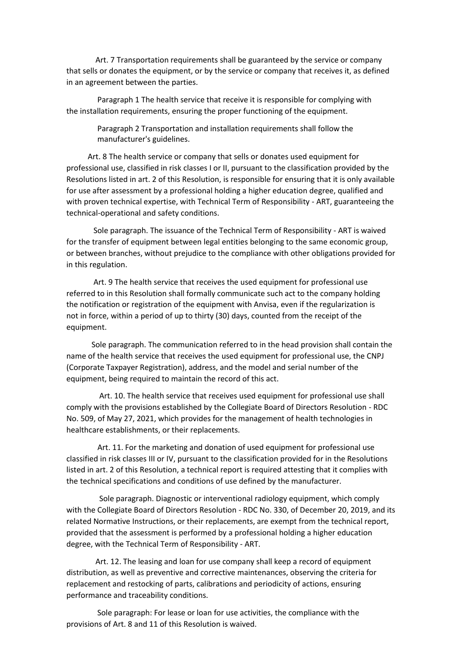Art. 7 Transportation requirements shall be guaranteed by the service or company that sells or donates the equipment, or by the service or company that receives it, as defined in an agreement between the parties.

Paragraph 1 The health service that receive it is responsible for complying with the installation requirements, ensuring the proper functioning of the equipment.

> Paragraph 2 Transportation and installation requirements shall follow the manufacturer's guidelines.

Art. 8 The health service or company that sells or donates used equipment for professional use, classified in risk classes I or II, pursuant to the classification provided by the Resolutions listed in art. 2 of this Resolution, is responsible for ensuring that it is only available for use after assessment by a professional holding a higher education degree, qualified and with proven technical expertise, with Technical Term of Responsibility - ART, guaranteeing the technical-operational and safety conditions.

Sole paragraph. The issuance of the Technical Term of Responsibility - ART is waived for the transfer of equipment between legal entities belonging to the same economic group, or between branches, without prejudice to the compliance with other obligations provided for in this regulation.

Art. 9 The health service that receives the used equipment for professional use referred to in this Resolution shall formally communicate such act to the company holding the notification or registration of the equipment with Anvisa, even if the regularization is not in force, within a period of up to thirty (30) days, counted from the receipt of the equipment.

Sole paragraph. The communication referred to in the head provision shall contain the name of the health service that receives the used equipment for professional use, the CNPJ (Corporate Taxpayer Registration), address, and the model and serial number of the equipment, being required to maintain the record of this act.

Art. 10. The health service that receives used equipment for professional use shall comply with the provisions established by the Collegiate Board of Directors Resolution - RDC No. 509, of May 27, 2021, which provides for the management of health technologies in healthcare establishments, or their replacements.

Art. 11. For the marketing and donation of used equipment for professional use classified in risk classes III or IV, pursuant to the classification provided for in the Resolutions listed in art. 2 of this Resolution, a technical report is required attesting that it complies with the technical specifications and conditions of use defined by the manufacturer.

Sole paragraph. Diagnostic or interventional radiology equipment, which comply with the Collegiate Board of Directors Resolution - RDC No. 330, of December 20, 2019, and its related Normative Instructions, or their replacements, are exempt from the technical report, provided that the assessment is performed by a professional holding a higher education degree, with the Technical Term of Responsibility - ART.

Art. 12. The leasing and loan for use company shall keep a record of equipment distribution, as well as preventive and corrective maintenances, observing the criteria for replacement and restocking of parts, calibrations and periodicity of actions, ensuring performance and traceability conditions.

Sole paragraph: For lease or loan for use activities, the compliance with the provisions of Art. 8 and 11 of this Resolution is waived.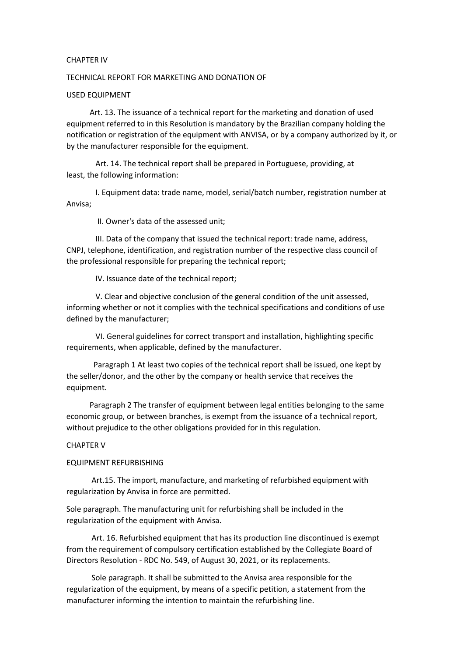## CHAPTER IV

## TECHNICAL REPORT FOR MARKETING AND DONATION OF

## USED EQUIPMENT

Art. 13. The issuance of a technical report for the marketing and donation of used equipment referred to in this Resolution is mandatory by the Brazilian company holding the notification or registration of the equipment with ANVISA, or by a company authorized by it, or by the manufacturer responsible for the equipment.

Art. 14. The technical report shall be prepared in Portuguese, providing, at least, the following information:

I. Equipment data: trade name, model, serial/batch number, registration number at Anvisa;

II. Owner's data of the assessed unit;

III. Data of the company that issued the technical report: trade name, address, CNPJ, telephone, identification, and registration number of the respective class council of the professional responsible for preparing the technical report;

IV. Issuance date of the technical report;

V. Clear and objective conclusion of the general condition of the unit assessed, informing whether or not it complies with the technical specifications and conditions of use defined by the manufacturer;

VI. General guidelines for correct transport and installation, highlighting specific requirements, when applicable, defined by the manufacturer.

Paragraph 1 At least two copies of the technical report shall be issued, one kept by the seller/donor, and the other by the company or health service that receives the equipment.

Paragraph 2 The transfer of equipment between legal entities belonging to the same economic group, or between branches, is exempt from the issuance of a technical report, without prejudice to the other obligations provided for in this regulation.

#### CHAPTER V

#### EQUIPMENT REFURBISHING

Art.15. The import, manufacture, and marketing of refurbished equipment with regularization by Anvisa in force are permitted.

Sole paragraph. The manufacturing unit for refurbishing shall be included in the regularization of the equipment with Anvisa.

Art. 16. Refurbished equipment that has its production line discontinued is exempt from the requirement of compulsory certification established by the Collegiate Board of Directors Resolution - RDC No. 549, of August 30, 2021, or its replacements.

Sole paragraph. It shall be submitted to the Anvisa area responsible for the regularization of the equipment, by means of a specific petition, a statement from the manufacturer informing the intention to maintain the refurbishing line.